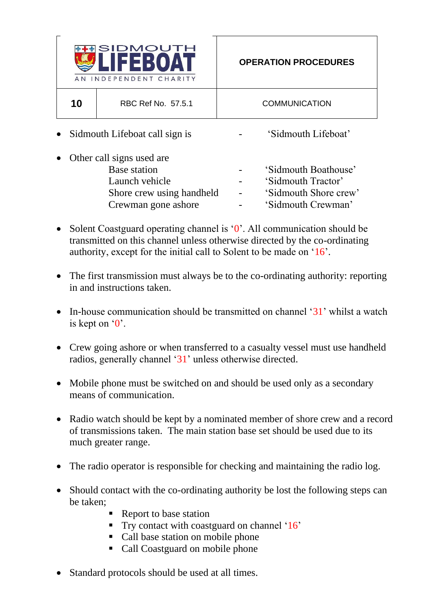

10 RBC Ref No. 57.5.1 COMMUNICATION

- Sidmouth Lifeboat call sign is  $\qquad \qquad -$  'Sidmouth Lifeboat'
- Other call signs used are Base station **Base** station **Figure 1**  $\overline{\phantom{a}}$  **Sidmouth Boathouse** Launch vehicle **-** 'Sidmouth Tractor' Shore crew using handheld - 'Sidmouth Shore crew' Crewman gone ashore **-** 'Sidmouth Crewman'
- Solent Coastguard operating channel is '0'. All communication should be transmitted on this channel unless otherwise directed by the co-ordinating authority, except for the initial call to Solent to be made on '16'.
- The first transmission must always be to the co-ordinating authority: reporting in and instructions taken.
- In-house communication should be transmitted on channel '31' whilst a watch is kept on  $0$ .
- Crew going ashore or when transferred to a casualty vessel must use handheld radios, generally channel '31' unless otherwise directed.
- Mobile phone must be switched on and should be used only as a secondary means of communication.
- Radio watch should be kept by a nominated member of shore crew and a record of transmissions taken. The main station base set should be used due to its much greater range.
- The radio operator is responsible for checking and maintaining the radio log.
- Should contact with the co-ordinating authority be lost the following steps can be taken;
	- Report to base station
	- Try contact with coastguard on channel '16'
	- Call base station on mobile phone
	- Call Coastguard on mobile phone
- Standard protocols should be used at all times.